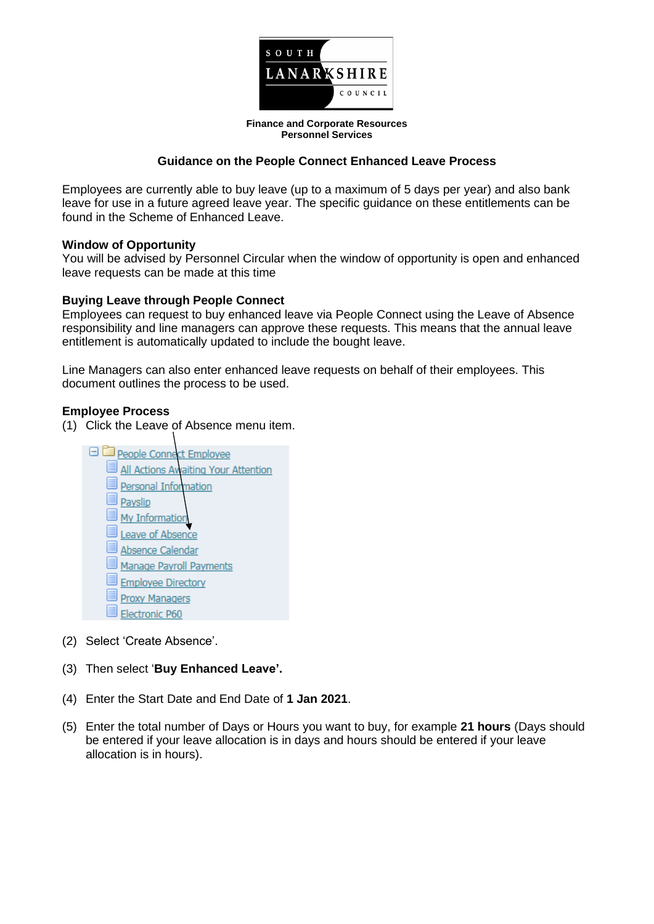

**Finance and Corporate Resources Personnel Services**

## **Guidance on the People Connect Enhanced Leave Process**

Employees are currently able to buy leave (up to a maximum of 5 days per year) and also bank leave for use in a future agreed leave year. The specific guidance on these entitlements can be found in the Scheme of Enhanced Leave.

### **Window of Opportunity**

You will be advised by Personnel Circular when the window of opportunity is open and enhanced leave requests can be made at this time

### **Buying Leave through People Connect**

Employees can request to buy enhanced leave via People Connect using the Leave of Absence responsibility and line managers can approve these requests. This means that the annual leave entitlement is automatically updated to include the bought leave.

Line Managers can also enter enhanced leave requests on behalf of their employees. This document outlines the process to be used.

### **Employee Process**

- (1) Click the Leave of Absence menu item.
	- **E** People Connect Employee All Actions Awaiting Your Attention Personal Information Payslip My Informatio Leave of Absence Absence Calendar Manage Pavroll Payments **Employee Directory Proxy Managers** Electronic P60
- (2) Select 'Create Absence'.
- (3) Then select '**Buy Enhanced Leave'.**
- (4) Enter the Start Date and End Date of **1 Jan 2021**.
- (5) Enter the total number of Days or Hours you want to buy, for example **21 hours** (Days should be entered if your leave allocation is in days and hours should be entered if your leave allocation is in hours).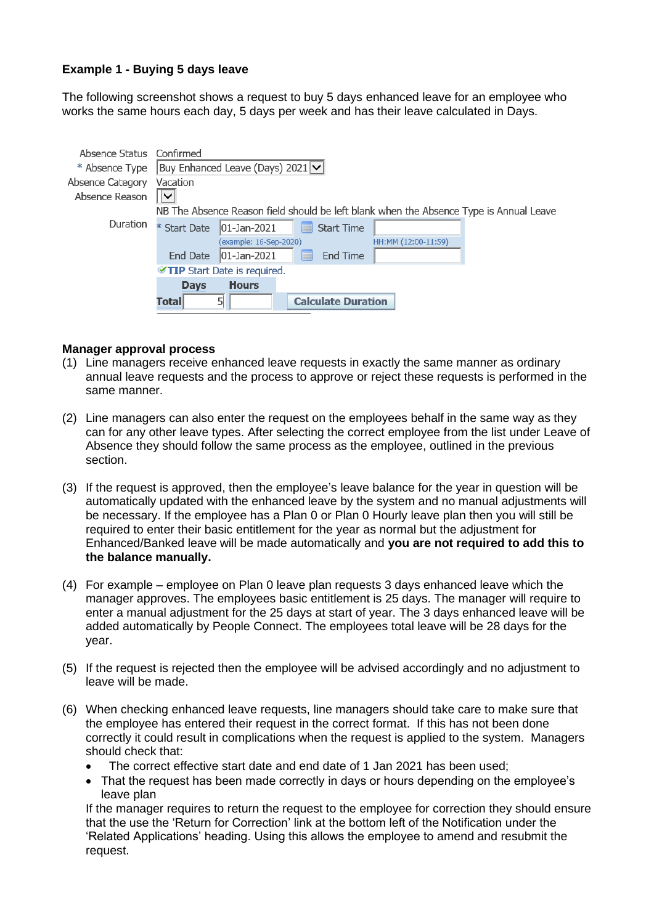# **Example 1 - Buying 5 days leave**

The following screenshot shows a request to buy 5 days enhanced leave for an employee who works the same hours each day, 5 days per week and has their leave calculated in Days.

| Absence Status Confirmed<br>* Absence Type<br>Absence Category | Vacation<br>$\checkmark$    | Buy Enhanced Leave (Days) 2021 $\triangledown$ |                           |                                                                                        |  |  |
|----------------------------------------------------------------|-----------------------------|------------------------------------------------|---------------------------|----------------------------------------------------------------------------------------|--|--|
| Absence Reason                                                 |                             |                                                |                           |                                                                                        |  |  |
|                                                                |                             |                                                |                           | NB The Absence Reason field should be left blank when the Absence Type is Annual Leave |  |  |
| Duration                                                       | * Start Date                | $ 01 - Jan - 2021 $                            | <b>Start Time</b><br>E    |                                                                                        |  |  |
|                                                                |                             | (example: 16-Sep-2020)                         |                           | HH:MM (12:00-11:59)                                                                    |  |  |
|                                                                | <b>End Date</b>             | $ 01 - Jan - 2021 $                            | End Time<br>扁             |                                                                                        |  |  |
|                                                                | TIP Start Date is required. |                                                |                           |                                                                                        |  |  |
|                                                                | <b>Days</b>                 | <b>Hours</b>                                   |                           |                                                                                        |  |  |
|                                                                | Total                       | 5                                              | <b>Calculate Duration</b> |                                                                                        |  |  |

#### **Manager approval process**

- (1) Line managers receive enhanced leave requests in exactly the same manner as ordinary annual leave requests and the process to approve or reject these requests is performed in the same manner.
- (2) Line managers can also enter the request on the employees behalf in the same way as they can for any other leave types. After selecting the correct employee from the list under Leave of Absence they should follow the same process as the employee, outlined in the previous section.
- (3) If the request is approved, then the employee's leave balance for the year in question will be automatically updated with the enhanced leave by the system and no manual adjustments will be necessary. If the employee has a Plan 0 or Plan 0 Hourly leave plan then you will still be required to enter their basic entitlement for the year as normal but the adjustment for Enhanced/Banked leave will be made automatically and **you are not required to add this to the balance manually.**
- (4) For example employee on Plan 0 leave plan requests 3 days enhanced leave which the manager approves. The employees basic entitlement is 25 days. The manager will require to enter a manual adjustment for the 25 days at start of year. The 3 days enhanced leave will be added automatically by People Connect. The employees total leave will be 28 days for the year.
- (5) If the request is rejected then the employee will be advised accordingly and no adjustment to leave will be made.
- (6) When checking enhanced leave requests, line managers should take care to make sure that the employee has entered their request in the correct format. If this has not been done correctly it could result in complications when the request is applied to the system. Managers should check that:
	- The correct effective start date and end date of 1 Jan 2021 has been used:
	- That the request has been made correctly in days or hours depending on the employee's leave plan

If the manager requires to return the request to the employee for correction they should ensure that the use the 'Return for Correction' link at the bottom left of the Notification under the 'Related Applications' heading. Using this allows the employee to amend and resubmit the request.